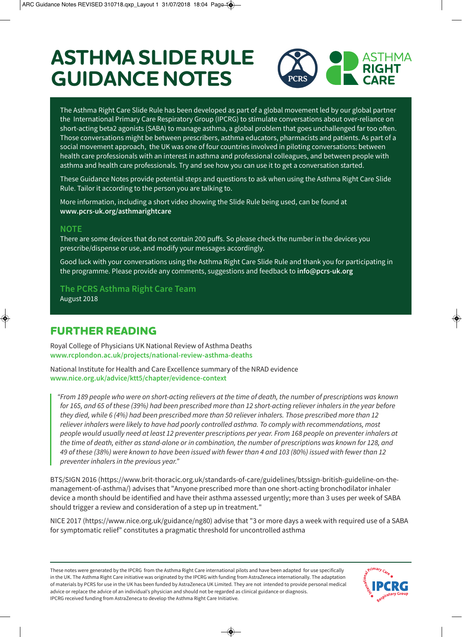# **ASTHMA SLIDE RULE GUIDANCE NOTES**



The Asthma Right Care Slide Rule has been developed as part of a global movement led by our global partner the International Primary Care Respiratory Group (IPCRG) to stimulate conversations about over-reliance on short-acting beta2 agonists (SABA) to manage asthma, a global problem that goes unchallenged far too often. Those conversations might be between prescribers, asthma educators, pharmacists and patients. As part of a social movement approach, the UK was one of four countries involved in piloting conversations: between health care professionals with an interest in asthma and professional colleagues, and between people with asthma and health care professionals. Try and see how you can use it to get a conversation started.

These Guidance Notes provide potential steps and questions to ask when using the Asthma Right Care Slide Rule. Tailor it according to the person you are talking to.

More information, including a short video showing the Slide Rule being used, can be found at **www.pcrs-uk.org/asthmarightcare**

## **NOTE**

There are some devices that do not contain 200 puffs. So please check the number in the devices you prescribe/dispense or use, and modify your messages accordingly.

Good luck with your conversations using the Asthma Right Care Slide Rule and thank you for participating in the programme. Please provide any comments, suggestions and feedback to **info@pcrs-uk.org** 

**The PCRS Asthma Right Care Team** August 2018

## **FURTHER READING**

Royal College of Physicians UK National Review of Asthma Deaths **www.rcplondon.ac.uk/projects/national-review-asthma-deaths**

National Institute for Health and Care Excellence summary of the NRAD evidence **www.nice.org.uk/advice/ktt5/chapter/evidence-context**

"From 189 people who were on short-acting relievers at the time of death, the number of prescriptions was known for 165, and 65 of these (39%) had been prescribed more than 12 short-acting reliever inhalers in the year before they died, while 6 (4%) had been prescribed more than 50 reliever inhalers. Those prescribed more than 12 reliever inhalers were likely to have had poorly controlled asthma. To comply with recommendations, most people would usually need at least 12 preventer prescriptions per year. From 168 people on preventer inhalers at the time of death, either as stand-alone or in combination, the number of prescriptions was known for 128, and 49 of these (38%) were known to have been issued with fewer than 4 and 103 (80%) issued with fewer than 12 preventer inhalers in the previous year."

BTS/SIGN 2016 (https://www.brit-thoracic.org.uk/standards-of-care/guidelines/btssign-british-guideline-on-themanagement-of-asthma/) advises that "Anyone prescribed more than one short-acting bronchodilator inhaler device a month should be identified and have their asthma assessed urgently; more than 3 uses per week of SABA should trigger a review and consideration of a step up in treatment."

NICE 2017 (https://www.nice.org.uk/guidance/ng80) advise that "3 or more days a week with required use of a SABA for symptomatic relief" constitutes a pragmatic threshold for uncontrolled asthma

These notes were generated by the IPCRG from the Asthma Right Care international pilots and have been adapted for use specifically in the UK. The Asthma Right Care initiative was originated by the IPCRG with funding from AstraZeneca internationally. The adaptation of materials by PCRS for use in the UK has been funded by AstraZeneca UK Limited. They are not intended to provide personal medical advice or replace the advice of an individual's physician and should not be regarded as clinical guidance or diagnosis. IPCRG received funding from AstraZeneca to develop the Asthma Right Care Initiative.